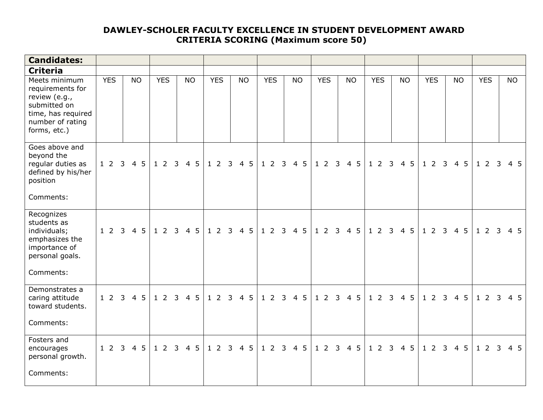## **DAWLEY-SCHOLER FACULTY EXCELLENCE IN STUDENT DEVELOPMENT AWARD CRITERIA SCORING (Maximum score 50)**

| <b>Candidates:</b>                                                                                                           |            |                                   |            |           |            |                 |            |                 |            |           |                             |                 |                           |                 |            |                      |  |  |  |  |  |
|------------------------------------------------------------------------------------------------------------------------------|------------|-----------------------------------|------------|-----------|------------|-----------------|------------|-----------------|------------|-----------|-----------------------------|-----------------|---------------------------|-----------------|------------|----------------------|--|--|--|--|--|
| <b>Criteria</b>                                                                                                              |            |                                   |            |           |            |                 |            |                 |            |           |                             |                 |                           |                 |            |                      |  |  |  |  |  |
| Meets minimum<br>requirements for<br>review (e.g.,<br>submitted on<br>time, has required<br>number of rating<br>forms, etc.) | <b>YES</b> | <b>NO</b>                         | <b>YES</b> | <b>NO</b> | <b>YES</b> | <b>NO</b>       | <b>YES</b> | <b>NO</b>       | <b>YES</b> | <b>NO</b> | <b>YES</b>                  | <b>NO</b>       | <b>YES</b>                | <b>NO</b>       | <b>YES</b> | <b>NO</b>            |  |  |  |  |  |
| Goes above and<br>beyond the<br>regular duties as<br>defined by his/her<br>position<br>Comments:                             | 123        | 4 5                               | 123        | 4 5       | 123        | $4\overline{5}$ | 123        | $4\overline{5}$ | 123        | 4 5       | $1\quad2$<br>$\overline{3}$ | $4\overline{5}$ | $1\quad2$<br>$\mathbf{3}$ | $4\overline{5}$ | $1\quad2$  | $4\overline{5}$<br>3 |  |  |  |  |  |
| Recognizes<br>students as<br>individuals;<br>emphasizes the<br>importance of<br>personal goals.<br>Comments:                 |            | 1 2 3 4 5   1 2 3 4 5   1 2 3 4 5 |            |           |            |                 |            | 1 2 3 4 5       | 1 2 3 4 5  |           | 12345                       |                 | 123                       | 4 5             | 123        | $4\overline{5}$      |  |  |  |  |  |
| Demonstrates a<br>caring attitude<br>toward students.<br>Comments:                                                           |            | 1 2 3 4 5                         |            | 1 2 3 4 5 | 123        | $4\overline{5}$ | 123        | $4\overline{5}$ | 123        | 4 5       | 123                         | $4\overline{5}$ | 123                       | 4 5             | 123        | $4\overline{5}$      |  |  |  |  |  |
| Fosters and<br>encourages<br>personal growth.<br>Comments:                                                                   | 123        | 4 5                               | 123        | 4 5       | 123        | 4 5             | 123        | 4 5             | 123        | 4 5       | 123                         | 4 5             | 123                       | 4 5             | 123        | 4 5                  |  |  |  |  |  |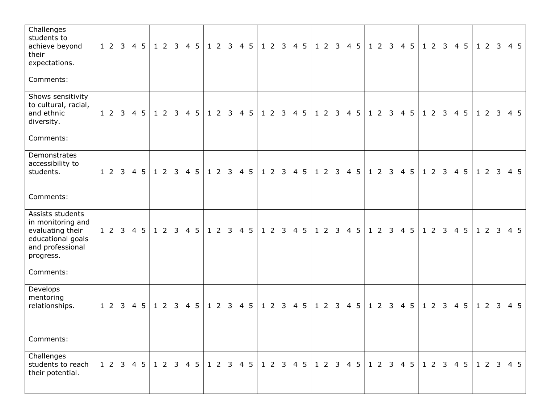| Challenges<br>students to<br>achieve beyond<br>their<br>expectations.<br>Comments:                                           | 1 2 3 4 5 |                |     |  | 1 2 3 4 5 |     |  | 1 2 3 4 5 |     |  | 1 2 3 4 5 |           |  | 1 2 3 4 5 |     |  |     | 1 2 3 4 5 |     |     | 123 | 4 5                                                     |  | 123 |     | 4 5 |
|------------------------------------------------------------------------------------------------------------------------------|-----------|----------------|-----|--|-----------|-----|--|-----------|-----|--|-----------|-----------|--|-----------|-----|--|-----|-----------|-----|-----|-----|---------------------------------------------------------|--|-----|-----|-----|
| Shows sensitivity<br>to cultural, racial,<br>and ethnic<br>diversity.<br>Comments:                                           | 1 2 3 4 5 |                |     |  | 1 2 3 4 5 |     |  | 1 2 3 4 5 |     |  |           | 1 2 3 4 5 |  | 1 2 3 4 5 |     |  |     | 1 2 3 4 5 |     |     | 123 | 4 5                                                     |  |     | 123 | 4 5 |
| Demonstrates<br>accessibility to<br>students.<br>Comments:                                                                   | 1 2 3 4 5 |                |     |  | 1 2 3 4 5 |     |  | 1 2 3 4 5 |     |  | 123       | 4 5       |  | 1 2 3 4 5 |     |  |     | $123$     |     | 4 5 | 123 | 4 5                                                     |  | 123 |     | 4 5 |
| Assists students<br>in monitoring and<br>evaluating their<br>educational goals<br>and professional<br>progress.<br>Comments: | $1\quad2$ | $\overline{3}$ | 4 5 |  | 123       | 4 5 |  | 123       | 4 5 |  | 123       | 4 5       |  | 123       | 4 5 |  | 123 |           |     | 4 5 | 123 | 4 <sub>5</sub>                                          |  | 123 |     | 4 5 |
| Develops<br>mentoring<br>relationships.<br>Comments:                                                                         | 1 2 3 4 5 |                |     |  | 1 2 3 4 5 |     |  | 1 2 3 4 5 |     |  | 1 2 3 4 5 |           |  | 1 2 3 4 5 |     |  |     | $1 2 3$   | 4 5 |     | 123 | 4 5                                                     |  | 123 |     | 4 5 |
| Challenges<br>students to reach<br>their potential.                                                                          | 1 2 3 4 5 |                |     |  | 1 2 3 4 5 |     |  |           |     |  |           |           |  |           |     |  |     |           |     |     |     | 1 2 3 4 5 1 2 3 4 5 1 2 3 4 5 1 2 3 4 5 1 2 3 4 5 1 2 3 |  |     |     | 4 5 |